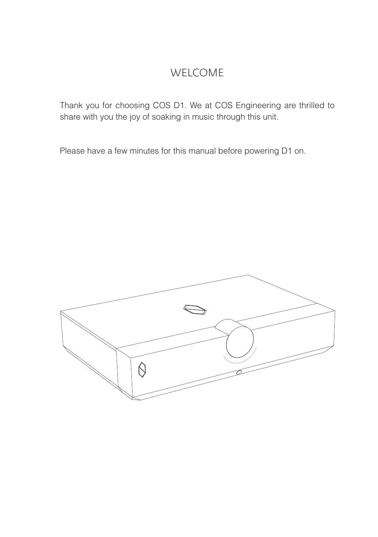### WELCOME

Thank you for choosing COS D1. We at COS Engineering are thrilled to share with you the joy of soaking in music through this unit.

Please have a few minutes for this manual before powering D1 on.

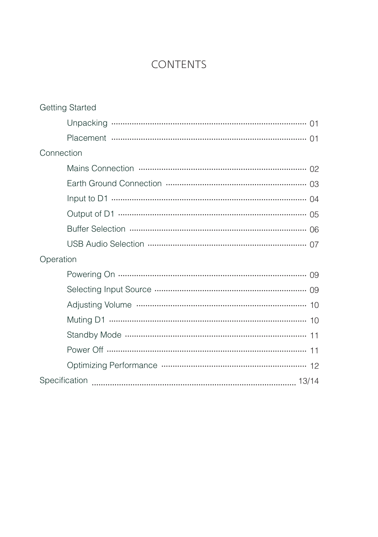# **CONTENTS**

| <b>Getting Started</b> |
|------------------------|
|                        |
|                        |
| Connection             |
|                        |
|                        |
|                        |
|                        |
|                        |
|                        |
| Operation              |
|                        |
|                        |
|                        |
|                        |
|                        |
|                        |
|                        |
|                        |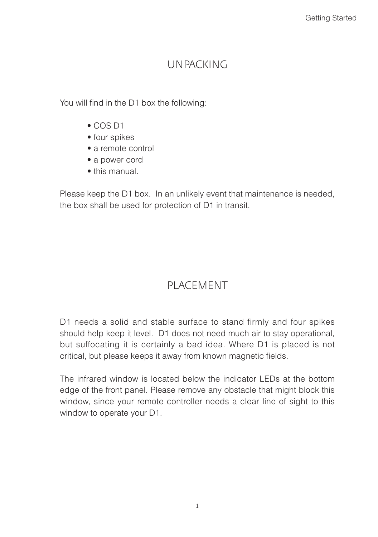### UNPACKING

You will find in the D1 box the following:

- COS D1
- four spikes
- a remote control
- a power cord
- this manual.

Please keep the D1 box. In an unlikely event that maintenance is needed, the box shall be used for protection of D1 in transit.

# PLACEMENT

D1 needs a solid and stable surface to stand firmly and four spikes should help keep it level. D1 does not need much air to stay operational, but suffocating it is certainly a bad idea. Where D1 is placed is not critical, but please keeps it away from known magnetic fields.

The infrared window is located below the indicator LEDs at the bottom edge of the front panel. Please remove any obstacle that might block this window, since your remote controller needs a clear line of sight to this window to operate your D1.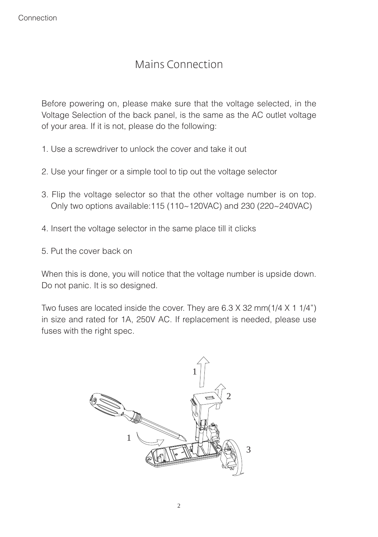# Mains Connection

Before powering on, please make sure that the voltage selected, in the Voltage Selection of the back panel, is the same as the AC outlet voltage of your area. If it is not, please do the following:

- 1. Use a screwdriver to unlock the cover and take it out
- 2. Use your finger or a simple tool to tip out the voltage selector
- 3. Flip the voltage selector so that the other voltage number is on top. Only two options available:115 (110~120VAC) and 230 (220~240VAC)
- 4. Insert the voltage selector in the same place till it clicks
- 5. Put the cover back on

When this is done, you will notice that the voltage number is upside down. Do not panic. It is so designed.

Two fuses are located inside the cover. They are 6.3 X 32 mm(1/4 X 1 1/4") in size and rated for 1A, 250V AC. If replacement is needed, please use fuses with the right spec.

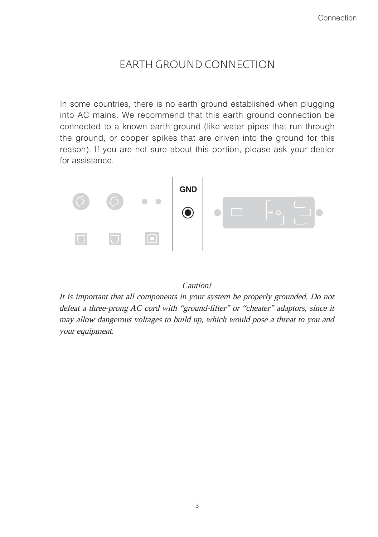# EARTH GROUND CONNECTION

In some countries, there is no earth ground established when plugging into AC mains. We recommend that this earth ground connection be connected to a known earth ground (like water pipes that run through the ground, or copper spikes that are driven into the ground for this reason). If you are not sure about this portion, please ask your dealer for assistance.



#### Caution!

It is important that all components in your system be properly grounded. Do not defeat a three-prong AC cord with "ground-lifter" or "cheater" adaptors, since it may allow dangerous voltages to build up, which would pose a threat to you and your equipment.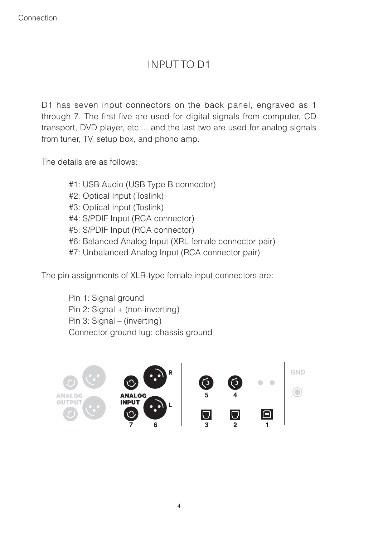# INPUT TO D1

D1 has seven input connectors on the back panel, engraved as 1 through 7. The first five are used for digital signals from computer, CD transport, DVD player, etc..., and the last two are used for analog signals from tuner, TV, setup box, and phono amp.

The details are as follows:

 #1: USB Audio (USB Type B connector) #2: Optical Input (Toslink) #3: Optical Input (Toslink) #4: S/PDIF Input (RCA connector) #5: S/PDIF Input (RCA connector) #6: Balanced Analog Input (XRL female connector pair) #7: Unbalanced Analog Input (RCA connector pair)

The pin assignments of XLR-type female input connectors are:

 Pin 1: Signal ground Pin 2: Signal + (non-inverting) Pin 3: Signal – (inverting) Connector ground lug: chassis ground

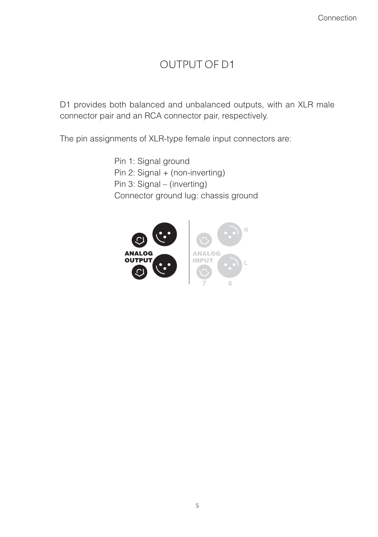# OUTPUT OF D1

D1 provides both balanced and unbalanced outputs, with an XLR male connector pair and an RCA connector pair, respectively.

The pin assignments of XLR-type female input connectors are:

 Pin 1: Signal ground Pin 2: Signal + (non-inverting) Pin 3: Signal – (inverting) Connector ground lug: chassis ground

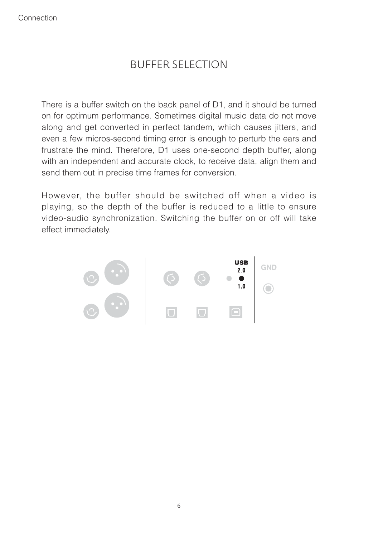# BUFFER SELECTION

There is a buffer switch on the back panel of D1, and it should be turned on for optimum performance. Sometimes digital music data do not move along and get converted in perfect tandem, which causes jitters, and even a few micros-second timing error is enough to perturb the ears and frustrate the mind. Therefore, D1 uses one-second depth buffer, along with an independent and accurate clock, to receive data, align them and send them out in precise time frames for conversion.

However, the buffer should be switched off when a video is playing, so the depth of the buffer is reduced to a little to ensure video-audio synchronization. Switching the buffer on or off will take effect immediately.

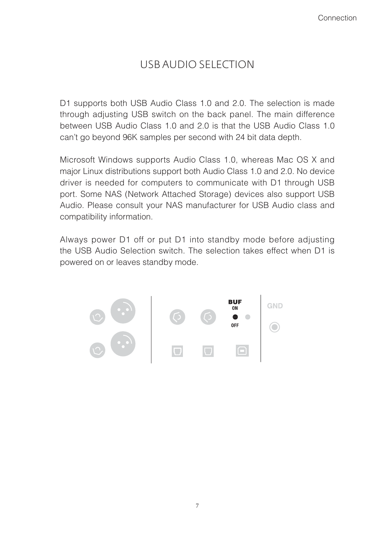# USB AUDIO SELECTION

D1 supports both USB Audio Class 1.0 and 2.0. The selection is made through adjusting USB switch on the back panel. The main difference between USB Audio Class 1.0 and 2.0 is that the USB Audio Class 1.0 can't go beyond 96K samples per second with 24 bit data depth.

Microsoft Windows supports Audio Class 1.0, whereas Mac OS X and major Linux distributions support both Audio Class 1.0 and 2.0. No device driver is needed for computers to communicate with D1 through USB port. Some NAS (Network Attached Storage) devices also support USB Audio. Please consult your NAS manufacturer for USB Audio class and compatibility information.

Always power D1 off or put D1 into standby mode before adjusting the USB Audio Selection switch. The selection takes effect when D1 is powered on or leaves standby mode.

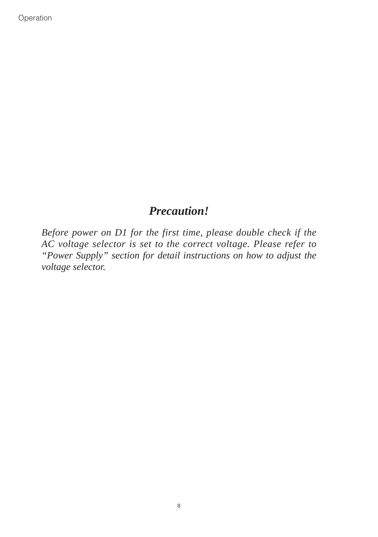#### *Precaution!*

*Before power on D1 for the first time, please double check if the AC voltage selector is set to the correct voltage. Please refer to "Power Supply" section for detail instructions on how to adjust the voltage selector.*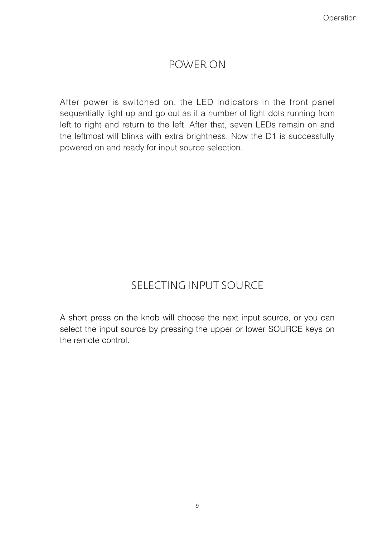### POWER ON

After power is switched on, the LED indicators in the front panel sequentially light up and go out as if a number of light dots running from left to right and return to the left. After that, seven LEDs remain on and the leftmost will blinks with extra brightness. Now the D1 is successfully powered on and ready for input source selection.

# SELECTING INPUT SOURCE

A short press on the knob will choose the next input source, or you can select the input source by pressing the upper or lower SOURCE keys on the remote control.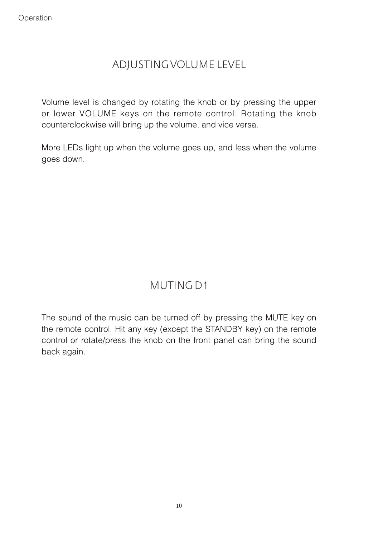# ADJUSTING VOLUME LEVEL

Volume level is changed by rotating the knob or by pressing the upper or lower VOLUME keys on the remote control. Rotating the knob counterclockwise will bring up the volume, and vice versa.

More LEDs light up when the volume goes up, and less when the volume goes down.

# MUTING D1

The sound of the music can be turned off by pressing the MUTE key on the remote control. Hit any key (except the STANDBY key) on the remote control or rotate/press the knob on the front panel can bring the sound back again.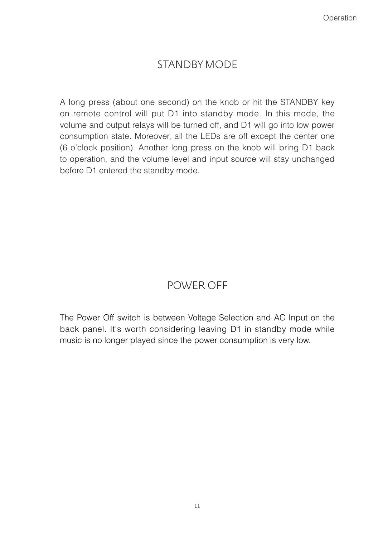# STANDBY MODE

A long press (about one second) on the knob or hit the STANDBY key on remote control will put D1 into standby mode. In this mode, the volume and output relays will be turned off, and D1 will go into low power consumption state. Moreover, all the LEDs are off except the center one (6 o'clock position). Another long press on the knob will bring D1 back to operation, and the volume level and input source will stay unchanged before D1 entered the standby mode.

# POWER OFF

The Power Off switch is between Voltage Selection and AC Input on the back panel. It's worth considering leaving D1 in standby mode while music is no longer played since the power consumption is very low.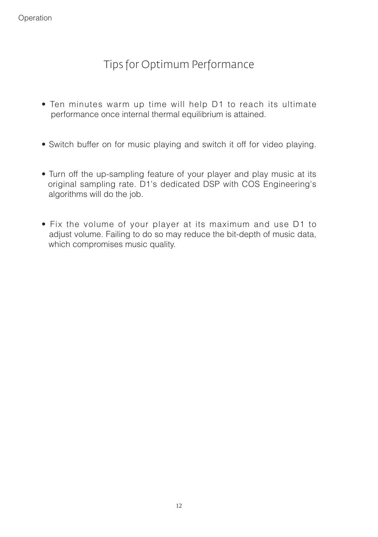# Tips for Optimum Performance

- Ten minutes warm up time will help D1 to reach its ultimate performance once internal thermal equilibrium is attained.
- Switch buffer on for music playing and switch it off for video playing.
- Turn off the up-sampling feature of your player and play music at its original sampling rate. D1's dedicated DSP with COS Engineering's algorithms will do the job.
- Fix the volume of your player at its maximum and use D1 to adjust volume. Failing to do so may reduce the bit-depth of music data, which compromises music quality.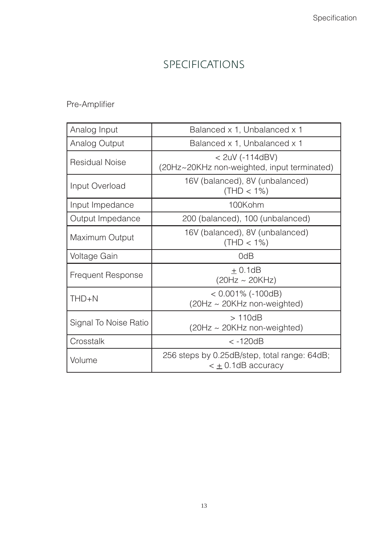# SPECIFICATIONS

#### Pre-Amplifier

| Analog Input             | Balanced x 1, Unbalanced x 1                                             |
|--------------------------|--------------------------------------------------------------------------|
| Analog Output            | Balanced x 1, Unbalanced x 1                                             |
| <b>Residual Noise</b>    | $<$ 2uV (-114dBV)<br>(20Hz~20KHz non-weighted, input terminated)         |
| Input Overload           | 16V (balanced), 8V (unbalanced)<br>$(THD < 1\%)$                         |
| Input Impedance          | 100Kohm                                                                  |
| Output Impedance         | 200 (balanced), 100 (unbalanced)                                         |
| Maximum Output           | 16V (balanced), 8V (unbalanced)<br>$(THD < 1\%)$                         |
| Voltage Gain             | 0dB                                                                      |
| <b>Frequent Response</b> | $\pm$ 0.1dB<br>$(20Hz \sim 20KHz)$                                       |
| $THD + N$                | $< 0.001\%$ (-100dB)<br>$(20Hz \sim 20KHz$ non-weighted)                 |
| Signal To Noise Ratio    | >110dB<br>(20Hz ~ 20KHz non-weighted)                                    |
| Crosstalk                | $< -120dB$                                                               |
| Volume                   | 256 steps by 0.25dB/step, total range: 64dB;<br>$\lt \pm$ 0.1dB accuracy |